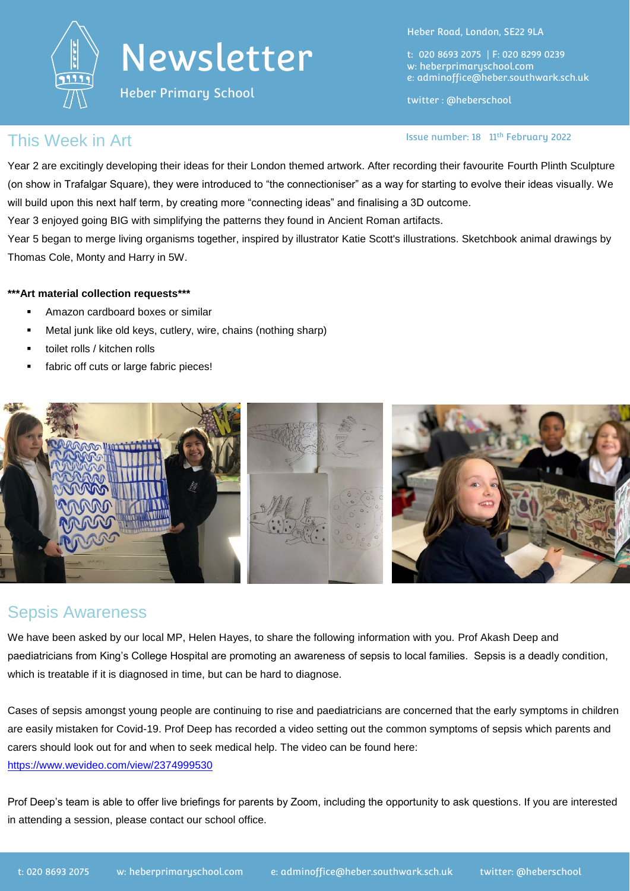

Heber Primary School

Heber Road, London, SE22 9LA

t: 020 8693 2075 | F: 020 8299 0239 w: heberprimaryschool.com e: [adminoffice@heber.southwark.sch.uk](mailto:adminoffice@heber.southwark.sch.uk)

twitter : @heberschool

Issue number: 18 11th February 2022

#### This Week in Art

Year 2 are excitingly developing their ideas for their London themed artwork. After recording their favourite Fourth Plinth Sculpture (on show in Trafalgar Square), they were introduced to "the connectioniser" as a way for starting to evolve their ideas visually. We will build upon this next half term, by creating more "connecting ideas" and finalising a 3D outcome.

Year 3 enjoyed going BIG with simplifying the patterns they found in Ancient Roman artifacts.

Year 5 began to merge living organisms together, inspired by illustrator Katie Scott's illustrations. Sketchbook animal drawings by Thomas Cole, Monty and Harry in 5W.

#### **\*\*\*Art material collection requests\*\*\***

- Amazon cardboard boxes or similar
- Metal junk like old keys, cutlery, wire, chains (nothing sharp)
- toilet rolls / kitchen rolls
- fabric off cuts or large fabric pieces!



#### Sepsis Awareness

We have been asked by our local MP, Helen Hayes, to share the following information with you. Prof Akash Deep and paediatricians from King's College Hospital are promoting an awareness of sepsis to local families. Sepsis is a deadly condition, which is treatable if it is diagnosed in time, but can be hard to diagnose.

Cases of sepsis amongst young people are continuing to rise and paediatricians are concerned that the early symptoms in children are easily mistaken for Covid-19. Prof Deep has recorded a video setting out the common symptoms of sepsis which parents and carers should look out for and when to seek medical help. The video can be found here: <https://www.wevideo.com/view/2374999530>

Prof Deep's team is able to offer live briefings for parents by Zoom, including the opportunity to ask questions. If you are interested in attending a session, please contact our school office.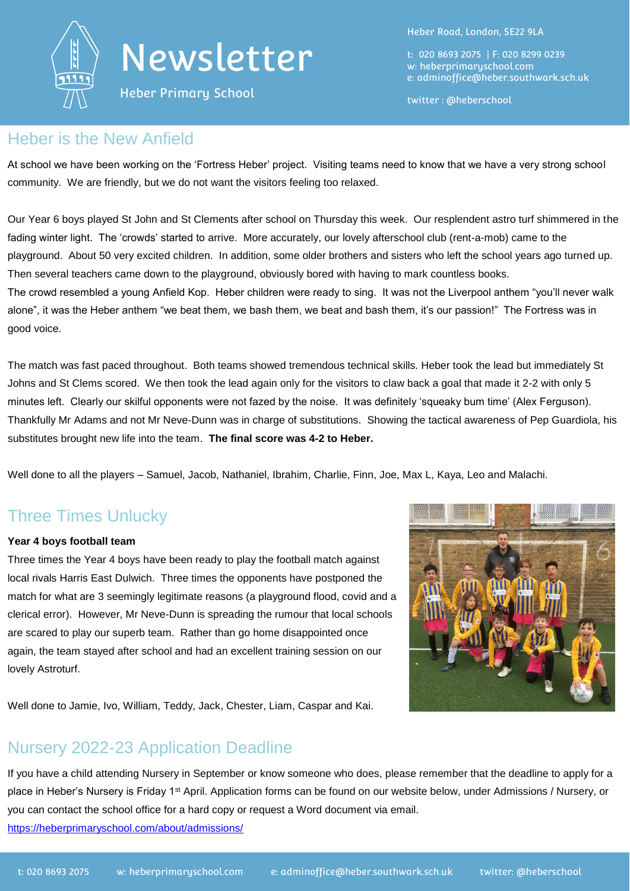

Heber Primary School

Heber Road, London, SE22 9LA

t: 020 8693 2075 | F: 020 8299 0239 w: heberprimaryschool.com e: [adminoffice@heber.southwark.sch.uk](mailto:adminoffice@heber.southwark.sch.uk)

twitter : @heberschool

#### Heber is the New Anfield

At school we have been working on the 'Fortress Heber' project. Visiting teams need to know that we have a very strong school community. We are friendly, but we do not want the visitors feeling too relaxed.

Our Year 6 boys played St John and St Clements after school on Thursday this week. Our resplendent astro turf shimmered in the fading winter light. The 'crowds' started to arrive. More accurately, our lovely afterschool club (rent-a-mob) came to the playground. About 50 very excited children. In addition, some older brothers and sisters who left the school years ago turned up. Then several teachers came down to the playground, obviously bored with having to mark countless books.

The crowd resembled a young Anfield Kop. Heber children were ready to sing. It was not the Liverpool anthem "you'll never walk alone", it was the Heber anthem "we beat them, we bash them, we beat and bash them, it's our passion!" The Fortress was in good voice.

The match was fast paced throughout. Both teams showed tremendous technical skills. Heber took the lead but immediately St Johns and St Clems scored. We then took the lead again only for the visitors to claw back a goal that made it 2-2 with only 5 minutes left. Clearly our skilful opponents were not fazed by the noise. It was definitely 'squeaky bum time' (Alex Ferguson). Thankfully Mr Adams and not Mr Neve-Dunn was in charge of substitutions. Showing the tactical awareness of Pep Guardiola, his substitutes brought new life into the team. **The final score was 4-2 to Heber.**

Well done to all the players – Samuel, Jacob, Nathaniel, Ibrahim, Charlie, Finn, Joe, Max L, Kaya, Leo and Malachi.

#### Three Times Unlucky

#### **Year 4 boys football team**

Three times the Year 4 boys have been ready to play the football match against local rivals Harris East Dulwich. Three times the opponents have postponed the match for what are 3 seemingly legitimate reasons (a playground flood, covid and a clerical error). However, Mr Neve-Dunn is spreading the rumour that local schools are scared to play our superb team. Rather than go home disappointed once again, the team stayed after school and had an excellent training session on our lovely Astroturf.



Well done to Jamie, Ivo, William, Teddy, Jack, Chester, Liam, Caspar and Kai.

### Nursery 2022-23 Application Deadline

If you have a child attending Nursery in September or know someone who does, please remember that the deadline to apply for a place in Heber's Nursery is Friday 1<sup>st</sup> April. Application forms can be found on our website below, under Admissions / Nursery, or you can contact the school office for a hard copy or request a Word document via email. <https://heberprimaryschool.com/about/admissions/>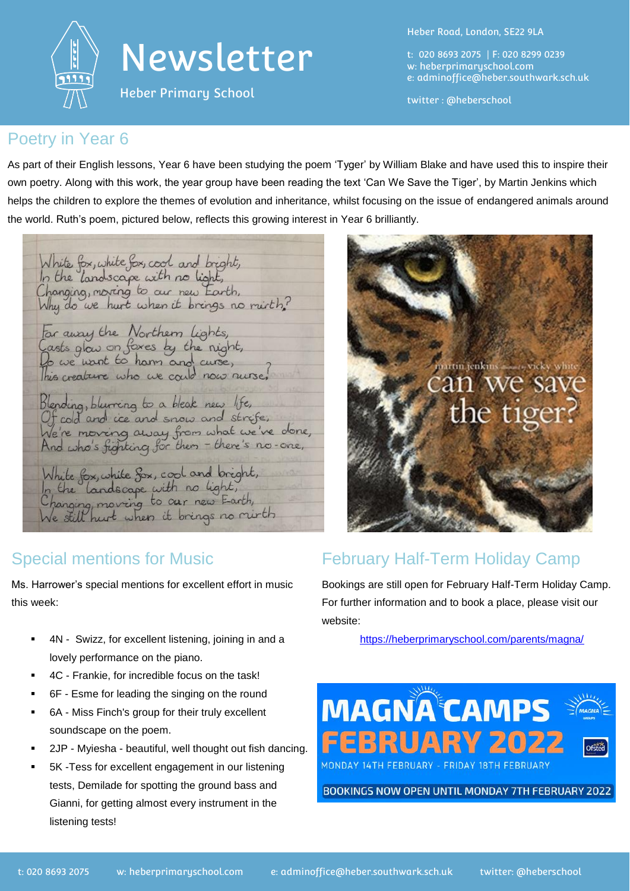

Heber Primary School

Heber Road, London, SE22 9LA

t: 020 8693 2075 | F: 020 8299 0239 w: heberprimaryschool.com e: [adminoffice@heber.southwark.sch.uk](mailto:adminoffice@heber.southwark.sch.uk)

twitter : @heberschool

#### Poetry in Year 6

As part of their English lessons, Year 6 have been studying the poem 'Tyger' by William Blake and have used this to inspire their own poetry. Along with this work, the year group have been reading the text 'Can We Save the Tiger', by Martin Jenkins which helps the children to explore the themes of evolution and inheritance, whilst focusing on the issue of endangered animals around the world. Ruth's poem, pictured below, reflects this growing interest in Year 6 brilliantly.

White fox, white fox, cool and bright,<br>In the landscape with no light, Changing, moving to our new Earth,<br>Why do we hurt when it brings no ruith? Far away the Northern lights,<br>Casts glav on foxes by the night,<br>Do we want to harm and curse,<br>This creature who we cauld now nurse, Blending, blurring to a bleak new life,<br>Of cold and ice and snow and strife, We're moving away from what we've done,<br>And who's fighting for them - there's no-one, White fox, white fox, cool and bright,<br>In the landscape with no light,<br>Changing, moving to our new Farth,

### Special mentions for Music

Ms. Harrower's special mentions for excellent effort in music this week:

- 4N Swizz, for excellent listening, joining in and a lovely performance on the piano.
- 4C Frankie, for incredible focus on the task!
- 6F Esme for leading the singing on the round
- 6A Miss Finch's group for their truly excellent soundscape on the poem.
- 2JP Myiesha beautiful, well thought out fish dancing.
- 5K -Tess for excellent engagement in our listening tests, Demilade for spotting the ground bass and Gianni, for getting almost every instrument in the listening tests!



### February Half-Term Holiday Camp

Bookings are still open for February Half-Term Holiday Camp. For further information and to book a place, please visit our website:

<https://heberprimaryschool.com/parents/magna/>



BOOKINGS NOW OPEN UNTIL MONDAY 7TH FEBRUARY 2022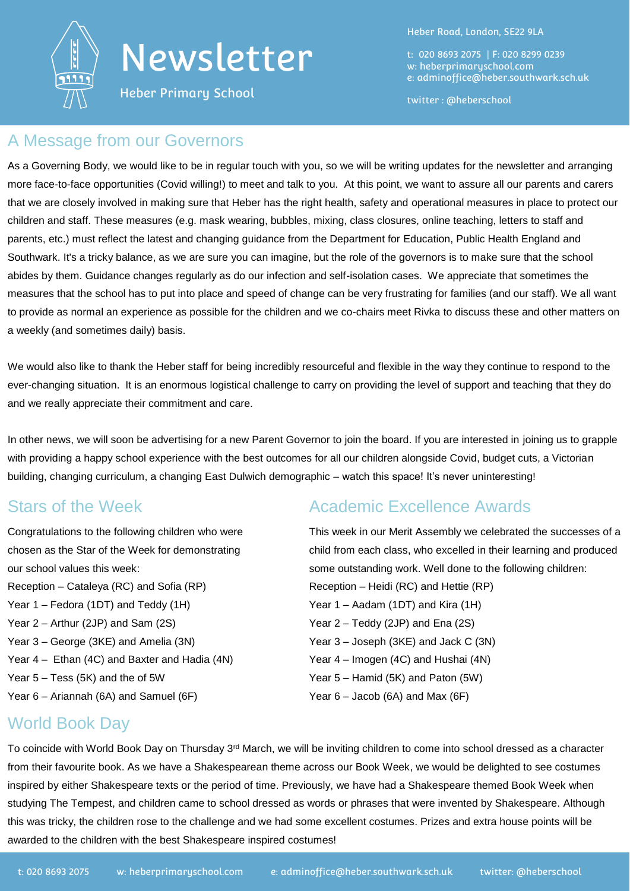

Heber Primary School

Heber Road, London, SE22 9LA

t: 020 8693 2075 | F: 020 8299 0239 w: heberprimaryschool.com e: [adminoffice@heber.southwark.sch.uk](mailto:adminoffice@heber.southwark.sch.uk)

twitter : @heberschool

#### A Message from our Governors

As a Governing Body, we would like to be in regular touch with you, so we will be writing updates for the newsletter and arranging more face-to-face opportunities (Covid willing!) to meet and talk to you. At this point, we want to assure all our parents and carers that we are closely involved in making sure that Heber has the right health, safety and operational measures in place to protect our children and staff. These measures (e.g. mask wearing, bubbles, mixing, class closures, online teaching, letters to staff and parents, etc.) must reflect the latest and changing guidance from the Department for Education, Public Health England and Southwark. It's a tricky balance, as we are sure you can imagine, but the role of the governors is to make sure that the school abides by them. Guidance changes regularly as do our infection and self-isolation cases. We appreciate that sometimes the measures that the school has to put into place and speed of change can be very frustrating for families (and our staff). We all want to provide as normal an experience as possible for the children and we co-chairs meet Rivka to discuss these and other matters on a weekly (and sometimes daily) basis.

We would also like to thank the Heber staff for being incredibly resourceful and flexible in the way they continue to respond to the ever-changing situation. It is an enormous logistical challenge to carry on providing the level of support and teaching that they do and we really appreciate their commitment and care.

In other news, we will soon be advertising for a new Parent Governor to join the board. If you are interested in joining us to grapple with providing a happy school experience with the best outcomes for all our children alongside Covid, budget cuts, a Victorian building, changing curriculum, a changing East Dulwich demographic – watch this space! It's never uninteresting!

#### Stars of the Week

Congratulations to the following children who were chosen as the Star of the Week for demonstrating our school values this week: Reception – Cataleya (RC) and Sofia (RP) Year 1 – Fedora (1DT) and Teddy (1H) Year 2 – Arthur (2JP) and Sam (2S) Year 3 – George (3KE) and Amelia (3N) Year 4 – Ethan (4C) and Baxter and Hadia (4N) Year 5 – Tess (5K) and the of 5W Year 6 – Ariannah (6A) and Samuel (6F)

### Academic Excellence Awards

This week in our Merit Assembly we celebrated the successes of a child from each class, who excelled in their learning and produced some outstanding work. Well done to the following children: Reception – Heidi (RC) and Hettie (RP) Year 1 – Aadam (1DT) and Kira (1H) Year 2 – Teddy (2JP) and Ena (2S) Year 3 – Joseph (3KE) and Jack C (3N) Year 4 – Imogen (4C) and Hushai (4N) Year 5 – Hamid (5K) and Paton (5W) Year  $6 -$  Jacob (6A) and Max (6F)

#### World Book Day

To coincide with World Book Day on Thursday 3rd March, we will be inviting children to come into school dressed as a character from their favourite book. As we have a Shakespearean theme across our Book Week, we would be delighted to see costumes inspired by either Shakespeare texts or the period of time. Previously, we have had a Shakespeare themed Book Week when studying The Tempest, and children came to school dressed as words or phrases that were invented by Shakespeare. Although this was tricky, the children rose to the challenge and we had some excellent costumes. Prizes and extra house points will be awarded to the children with the best Shakespeare inspired costumes!